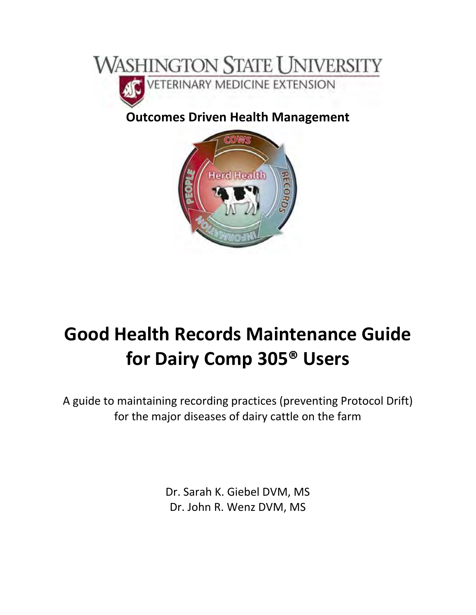

## **Outcomes Driven Health Management**



## **Good Health Records Maintenance Guide for Dairy Comp 305® Users**

A guide to maintaining recording practices (preventing Protocol Drift) for the major diseases of dairy cattle on the farm

> Dr. Sarah K. Giebel DVM, MS Dr. John R. Wenz DVM, MS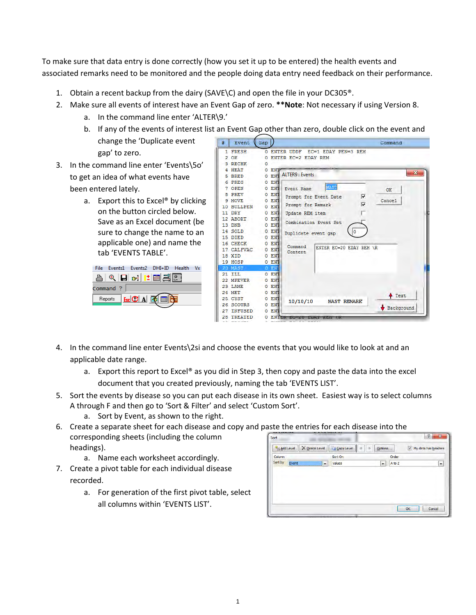To make sure that data entry is done correctly (how you set it up to be entered) the health events and associated remarks need to be monitored and the people doing data entry need feedback on their performance.

- 1. Obtain a recent backup from the dairy (SAVE\C) and open the file in your DC305®.
- 2. Make sure all events of interest have an Event Gap of zero. **\*\*Note**: Not necessary if using Version 8.
	- a. In the command line enter 'ALTER\9.'
	- b. If any of the events of interest list an Event Gap other than zero, double click on the event and change the 'Duplicate event gap' to zero.
- 3. In the command line enter 'Events\5o' to get an idea of what events have been entered lately.
	- a. Export this to Excel® by clicking on the button circled below. Save as an Excel document (be sure to change the name to an applicable one) and name the tab 'EVENTS TABLE'.

| $\mathbb{R}$ de de $\mathbb{E}$ de $\mathbb{E}$<br>Command ?<br>Reports | File | Events1 Events2 DHI+ID Health |  | Vx |
|-------------------------------------------------------------------------|------|-------------------------------|--|----|
|                                                                         |      |                               |  |    |
|                                                                         |      |                               |  |    |
|                                                                         |      | $Ex$ $C$ $A$                  |  |    |

| $\ddot{\ast}$ | Event          | Gap        |                  |                       |                        |                         | Command       |  |
|---------------|----------------|------------|------------------|-----------------------|------------------------|-------------------------|---------------|--|
|               | 1 FRESH        |            |                  | <b>0 ENTER UDDF</b>   | EC=1 EDAY PEN=3 REM    |                         |               |  |
|               | 2 OK           | o          |                  | ENTER EC=2 EDAY REM   |                        |                         |               |  |
|               | 3 RECHK        | O          |                  |                       |                        |                         |               |  |
|               | 4 HEAT         |            | 0 ENT            |                       |                        |                         | $\mathbf{x}$  |  |
|               | 5 BRED         |            | $0$ ENT          | <b>ALTER9: Events</b> |                        |                         |               |  |
|               | 6 PREG         |            | $0$ ENT          |                       |                        |                         |               |  |
|               | 7 OPEN         |            | $0$ ENT          | <b>Event Name</b>     | <b>MAST</b>            |                         | <b>OK</b>     |  |
|               | 8 PREV         |            | $0$ ENT          |                       | Prompt for Event Date  | ⊽                       |               |  |
|               | 9 MOVE         |            | $0$ ENT          |                       |                        |                         | Cancel        |  |
|               | 10 BULLPEN     |            | $0$ ENT          | Prompt for Remark     |                        | ⊽                       |               |  |
|               | 11 DRY         |            | $0$ ENT          | Update REM item       |                        |                         |               |  |
|               | 12 ABORT       |            | $0$ ENT          |                       | Combination Event Set  |                         |               |  |
|               | 13 DNB         |            | $0$ ENT          |                       |                        |                         |               |  |
|               | 14 SOLD        |            | 0 ENI            | Duplicate event gap   |                        | 0                       |               |  |
|               | 15 DIED        |            | $0$ ENT          |                       |                        |                         |               |  |
|               | 16 CHECK       |            | 0 ENT            | Command               |                        |                         |               |  |
|               | 17 CALFVAC     |            | 0 ENT            | Content               |                        | ENTER EC=20 EDAY REM \R |               |  |
|               | 18 XID         |            | 0 ENI            |                       |                        |                         |               |  |
|               | 19 HOSP        |            | 0 ENT            |                       |                        |                         |               |  |
|               | 20 MAST        |            | 0 E <sub>N</sub> |                       |                        |                         |               |  |
|               | 21 ILL         |            | 0 ENT            |                       |                        |                         |               |  |
|               | 22 MFEVER      |            | 0 ENT            |                       |                        |                         |               |  |
|               | <b>23 LAME</b> |            | $0$ ENT          |                       |                        |                         |               |  |
|               | <b>24 MET</b>  |            | 0 ENT            |                       |                        |                         | <b>4</b> Text |  |
|               | 25 CYST        |            | $0$ ENT          | 10/10/10              | <b>MAST REMARK</b>     |                         |               |  |
|               | 26 SCOURS      | $^{\circ}$ | <b>ENT</b>       |                       |                        |                         | Background    |  |
| 27            | <b>INFUSED</b> | ٥          | <b>ENT</b>       |                       |                        |                         |               |  |
|               | 28 TREATED     | 0          | <b>ENTER</b>     | <b>BUSINESS</b>       | 三つジンス<br><b>ISSUED</b> |                         |               |  |
|               | --------       |            |                  |                       |                        |                         |               |  |

- 4. In the command line enter Events\2si and choose the events that you would like to look at and an applicable date range.
	- a. Export this report to Excel® as you did in Step 3, then copy and paste the data into the excel document that you created previously, naming the tab 'EVENTS LIST'.
- 5. Sort the events by disease so you can put each disease in its own sheet. Easiest way is to select columns A through F and then go to 'Sort & Filter' and select 'Custom Sort'.
	- a. Sort by Event, as shown to the right.
- 6. Create a separate sheet for each disease and copy and paste the entries for each disease into the corresponding sheets (including the column headings).
	- a. Name each worksheet accordingly.
- 7. Create a pivot table for each individual disease recorded.
	- a. For generation of the first pivot table, select all columns within 'EVENTS LIST'.

| <b>En Copy Level</b>               | Options                  | V My data has headers    |
|------------------------------------|--------------------------|--------------------------|
| Sort On                            | Order                    |                          |
| Values<br>$\overline{\phantom{a}}$ | A to Z<br>$\overline{ }$ | $\overline{\phantom{a}}$ |
|                                    |                          |                          |
|                                    |                          |                          |
|                                    |                          |                          |
|                                    |                          |                          |
|                                    |                          |                          |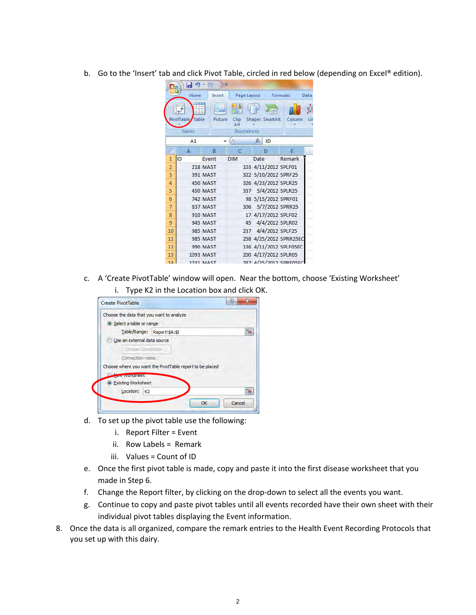b. Go to the 'Insert' tab and click Pivot Table, circled in red below (depending on Excel® edition).

|                | 日め                                   |                  |                                      |                      |                        |
|----------------|--------------------------------------|------------------|--------------------------------------|----------------------|------------------------|
|                | Home                                 | Insert           | Page Layout                          |                      | Formulas<br>Data       |
|                | <b>PivotTable</b><br>Table<br>Tables | Picture          | ll S<br>Clip<br>Art<br>Illustrations | Shapes SmartArt      | Column                 |
|                | A1                                   |                  |                                      | $f_{\rm sc}$<br>ID   |                        |
|                | $\mathbf{A}$                         | в                | c                                    | Ð                    | Ε                      |
| 1              | ID                                   | Event            | <b>DIM</b>                           | Date                 | Remark                 |
| $\overline{2}$ |                                      | 218 MAST         |                                      | 103 4/11/2012 SPLF01 |                        |
| $\overline{3}$ |                                      | 391 MAST         |                                      | 322 5/10/2012 SPRF25 |                        |
| $\overline{A}$ |                                      | 450 MAST         |                                      | 326 4/23/2012 SPLR25 |                        |
| 5              |                                      | 450 MAST         |                                      | 337 5/4/2012 SPLR25  |                        |
| $\overline{6}$ |                                      | <b>742 MAST</b>  |                                      | 98 5/15/2012 SPRF01  |                        |
| $\overline{7}$ |                                      | 837 MAST         |                                      | 306 5/7/2012 SPRR25  |                        |
| 8              |                                      | 910 MAST         |                                      | 17 4/17/2012 SPLF02  |                        |
| 9              |                                      | 945 MAST         |                                      | 45 4/4/2012 SPLR02   |                        |
| 10             |                                      | 985 MAST         |                                      | 237 4/4/2012 SPLF25  |                        |
| 11             |                                      | 985 MAST         |                                      |                      | 258 4/25/2012 SPRR25EC |
| 12             |                                      | <b>990 MAST</b>  |                                      |                      | 136 4/11/2012 SPLF05EC |
| 13             |                                      | <b>1093 MAST</b> |                                      | 200 4/17/2012 SPLR05 |                        |
| 1 <sub>A</sub> |                                      | <b>1221 MAST</b> |                                      |                      | 287 4/25/2012 SPREASEC |

c. A 'Create PivotTable' window will open. Near the bottom, choose 'Existing Worksheet'

|                                       | Choose the data that you want to analyze                 |
|---------------------------------------|----------------------------------------------------------|
| O Select a table or range             |                                                          |
|                                       | B.<br>Table/Range: Report!\$A:\$I                        |
| Use an external data source           |                                                          |
|                                       | Choose Connection                                        |
| Connection name:                      |                                                          |
|                                       |                                                          |
|                                       | Choose where you want the PivotTable report to be placed |
| The month of the Second Second Second |                                                          |
| <b>O</b> Existing Worksheet           |                                                          |

i. Type K2 in the Location box and click OK.

- d. To set up the pivot table use the following:
	- i. Report Filter = Event
	- ii. Row Labels = Remark
	- iii. Values = Count of ID
- e. Once the first pivot table is made, copy and paste it into the first disease worksheet that you made in Step 6.
- f. Change the Report filter, by clicking on the drop‐down to select all the events you want.
- g. Continue to copy and paste pivot tables until all events recorded have their own sheet with their individual pivot tables displaying the Event information.
- 8. Once the data is all organized, compare the remark entries to the Health Event Recording Protocols that you set up with this dairy.